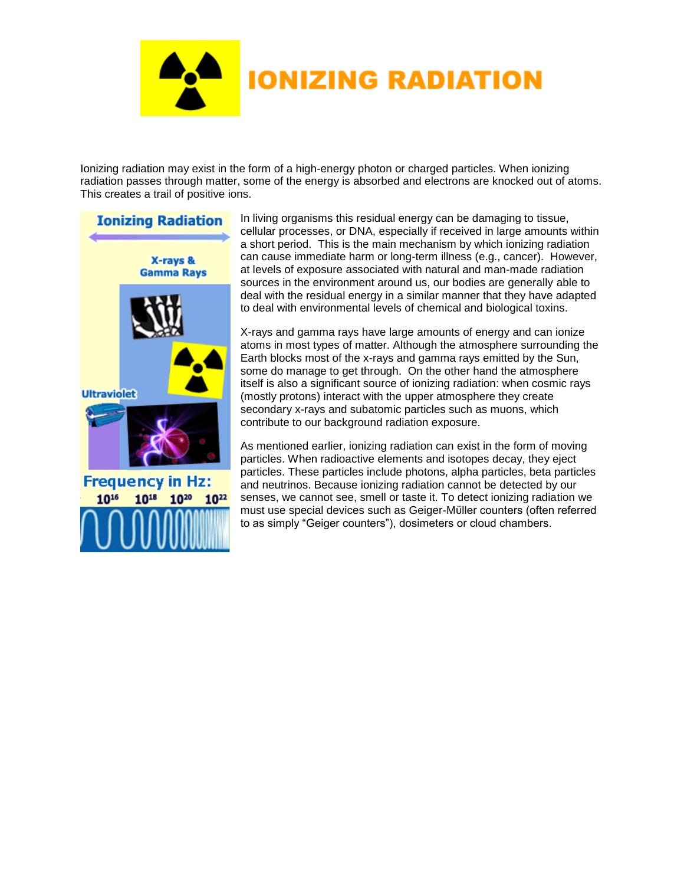

Ionizing radiation may exist in the form of a high-energy photon or charged particles. When ionizing radiation passes through matter, some of the energy is absorbed and electrons are knocked out of atoms. This creates a trail of positive ions.



In living organisms this residual energy can be damaging to tissue, cellular processes, or [DNA,](http://www.cna.ca/curriculum/english/glossary.asp#dna) especially if received in large amounts within a short period. This is the main mechanism by which ionizing radiation can cause immediate harm or long-term illness (e.g., cancer). However, at levels of exposure associated with natural and man-made radiation sources in the environment around us, our bodies are generally able to deal with the residual energy in a similar manner that they have adapted to deal with environmental levels of chemical and biological toxins.

X-rays and gamma rays have large amounts of energy and can ionize atoms in most types of matter. Although the atmosphere surrounding the Earth blocks most of the x-rays and gamma rays emitted by the Sun, some do manage to get through. On the other hand the atmosphere itself is also a significant source of ionizing radiation: when cosmic rays (mostly protons) interact with the upper atmosphere they create secondary x-rays and subatomic particles such as muons, which contribute to our background radiation exposure.

As mentioned earlier, ionizing radiation can exist in the form of moving particles. When radioactive elements and isotopes decay, they eject particles. These particles include photons, alpha particles, beta particles and neutrinos. Because ionizing radiation cannot be detected by our senses, we cannot see, smell or taste it. To detect ionizing radiation we must use special devices such as Geiger-Mϋller counters (often referred to as simply "Geiger counters"), dosimeters or cloud chambers.